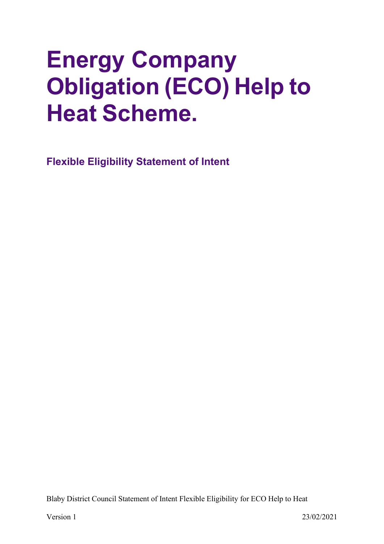# **Energy Company Obligation (ECO) Help to Heat Scheme.**

<span id="page-0-0"></span>**Flexible Eligibility Statement of Intent**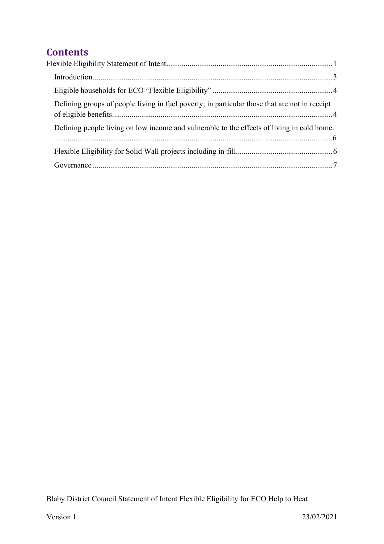# **Contents**

| Defining groups of people living in fuel poverty; in particular those that are not in receipt |  |
|-----------------------------------------------------------------------------------------------|--|
| Defining people living on low income and vulnerable to the effects of living in cold home.    |  |
|                                                                                               |  |
|                                                                                               |  |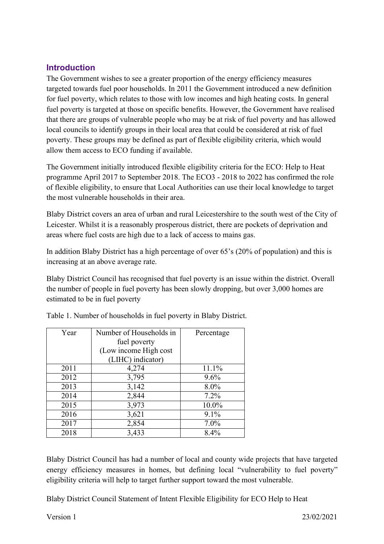#### <span id="page-2-0"></span>**Introduction**

The Government wishes to see a greater proportion of the energy efficiency measures targeted towards fuel poor households. In 2011 the Government introduced a new definition for fuel poverty, which relates to those with low incomes and high heating costs. In general fuel poverty is targeted at those on specific benefits. However, the Government have realised that there are groups of vulnerable people who may be at risk of fuel poverty and has allowed local councils to identify groups in their local area that could be considered at risk of fuel poverty. These groups may be defined as part of flexible eligibility criteria, which would allow them access to ECO funding if available.

The Government initially introduced flexible eligibility criteria for the ECO: Help to Heat programme April 2017 to September 2018. The ECO3 - 2018 to 2022 has confirmed the role of flexible eligibility, to ensure that Local Authorities can use their local knowledge to target the most vulnerable households in their area.

Blaby District covers an area of urban and rural Leicestershire to the south west of the City of Leicester. Whilst it is a reasonably prosperous district, there are pockets of deprivation and areas where fuel costs are high due to a lack of access to mains gas.

In addition Blaby District has a high percentage of over 65's (20% of population) and this is increasing at an above average rate.

Blaby District Council has recognised that fuel poverty is an issue within the district. Overall the number of people in fuel poverty has been slowly dropping, but over 3,000 homes are estimated to be in fuel poverty

| Year | Number of Households in | Percentage |
|------|-------------------------|------------|
|      | fuel poverty            |            |
|      | (Low income High cost   |            |
|      | (LIHC) indicator)       |            |
| 2011 | 4,274                   | 11.1%      |
| 2012 | 3,795                   | $9.6\%$    |
| 2013 | 3,142                   | 8.0%       |
| 2014 | 2,844                   | $7.2\%$    |
| 2015 | 3,973                   | 10.0%      |
| 2016 | 3,621                   | $9.1\%$    |
| 2017 | 2,854                   | $7.0\%$    |
| 2018 | 3,433                   | 8.4%       |

Table 1. Number of households in fuel poverty in Blaby District.

Blaby District Council has had a number of local and county wide projects that have targeted energy efficiency measures in homes, but defining local "vulnerability to fuel poverty" eligibility criteria will help to target further support toward the most vulnerable.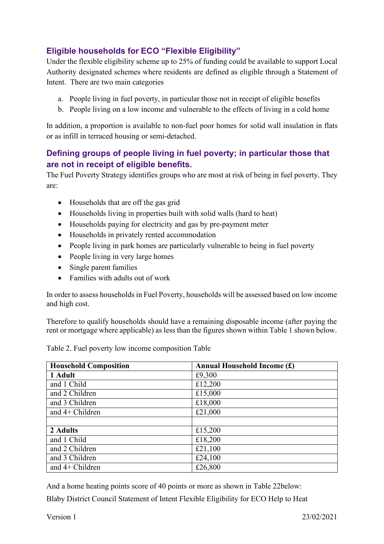### <span id="page-3-0"></span>**Eligible households for ECO "Flexible Eligibility"**

Under the flexible eligibility scheme up to 25% of funding could be available to support Local Authority designated schemes where residents are defined as eligible through a Statement of Intent. There are two main categories

- a. People living in fuel poverty, in particular those not in receipt of eligible benefits
- b. People living on a low income and vulnerable to the effects of living in a cold home

In addition, a proportion is available to non-fuel poor homes for solid wall insulation in flats or as infill in terraced housing or semi-detached.

#### <span id="page-3-1"></span>**Defining groups of people living in fuel poverty; in particular those that are not in receipt of eligible benefits.**

The Fuel Poverty Strategy identifies groups who are most at risk of being in fuel poverty. They are:

- Households that are off the gas grid
- Households living in properties built with solid walls (hard to heat)
- Households paying for electricity and gas by pre-payment meter
- Households in privately rented accommodation
- People living in park homes are particularly vulnerable to being in fuel poverty
- People living in very large homes
- Single parent families
- Families with adults out of work

In order to assess householdsin Fuel Poverty, households will be assessed based on low income and high cost.

Therefore to qualify households should have a remaining disposable income (after paying the rent or mortgage where applicable) as less than the figures shown within Table 1 shown below.

| <b>Household Composition</b> | <b>Annual Household Income (£)</b> |
|------------------------------|------------------------------------|
| 1 Adult                      | £9,300                             |
| and 1 Child                  | £12,200                            |
| and 2 Children               | £15,000                            |
| and 3 Children               | £18,000                            |
| and $4+$ Children            | £21,000                            |
|                              |                                    |
| 2 Adults                     | £15,200                            |
| and 1 Child                  | £18,200                            |
| and 2 Children               | £21,100                            |
| and 3 Children               | £24,100                            |
| and $4+$ Children            | £26,800                            |

Table 2. Fuel poverty low income composition Table

And a home heating points score of 40 points or more as shown in Table 22below: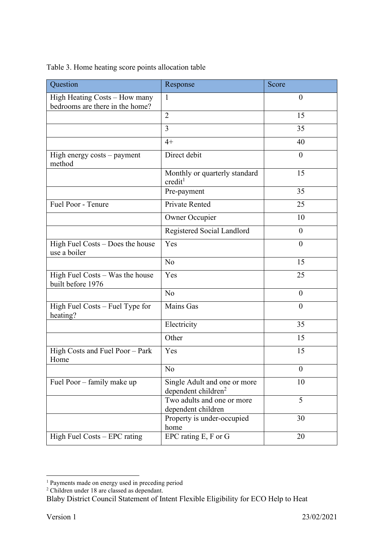| Table 3. Home heating score points allocation table |  |
|-----------------------------------------------------|--|
|-----------------------------------------------------|--|

| Question                                                         | Response                                                        | Score            |
|------------------------------------------------------------------|-----------------------------------------------------------------|------------------|
| High Heating Costs - How many<br>bedrooms are there in the home? | 1                                                               | $\overline{0}$   |
|                                                                  | $\overline{2}$                                                  | 15               |
|                                                                  | 3                                                               | 35               |
|                                                                  | $4+$                                                            | 40               |
| High energy costs - payment<br>method                            | Direct debit                                                    | $\overline{0}$   |
|                                                                  | Monthly or quarterly standard<br>credit <sup>1</sup>            | 15               |
|                                                                  | Pre-payment                                                     | 35               |
| Fuel Poor - Tenure                                               | <b>Private Rented</b>                                           | 25               |
|                                                                  | <b>Owner Occupier</b>                                           | 10               |
|                                                                  | Registered Social Landlord                                      | $\overline{0}$   |
| High Fuel Costs – Does the house<br>use a boiler                 | Yes                                                             | $\theta$         |
|                                                                  | N <sub>o</sub>                                                  | 15               |
| High Fuel Costs - Was the house<br>built before 1976             | Yes                                                             | 25               |
|                                                                  | N <sub>o</sub>                                                  | $\overline{0}$   |
| High Fuel Costs – Fuel Type for<br>heating?                      | <b>Mains Gas</b>                                                | $\overline{0}$   |
|                                                                  | Electricity                                                     | 35               |
|                                                                  | Other                                                           | 15               |
| High Costs and Fuel Poor - Park<br>Home                          | Yes                                                             | 15               |
|                                                                  | No                                                              | $\boldsymbol{0}$ |
| Fuel Poor - family make up                                       | Single Adult and one or more<br>dependent children <sup>2</sup> | 10               |
|                                                                  | Two adults and one or more<br>dependent children                | 5                |
|                                                                  | Property is under-occupied<br>home                              | 30               |
| High Fuel Costs - EPC rating                                     | EPC rating E, F or G                                            | 20               |

<sup>&</sup>lt;sup>1</sup> Payments made on energy used in preceding period

<sup>&</sup>lt;sup>2</sup> Children under 18 are classed as dependant.

Blaby District Council Statement of Intent Flexible Eligibility for ECO Help to Heat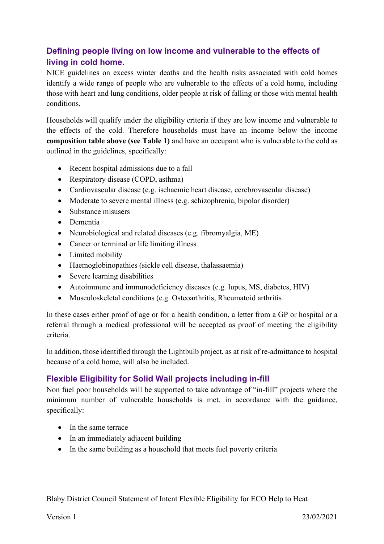## <span id="page-5-0"></span>**Defining people living on low income and vulnerable to the effects of living in cold home.**

NICE guidelines on excess winter deaths and the health risks associated with cold homes identify a wide range of people who are vulnerable to the effects of a cold home, including those with heart and lung conditions, older people at risk of falling or those with mental health conditions.

Households will qualify under the eligibility criteria if they are low income and vulnerable to the effects of the cold. Therefore households must have an income below the income **composition table above (see Table 1)** and have an occupant who is vulnerable to the cold as outlined in the guidelines, specifically:

- Recent hospital admissions due to a fall
- Respiratory disease (COPD, asthma)
- Cardiovascular disease (e.g. ischaemic heart disease, cerebrovascular disease)
- Moderate to severe mental illness (e.g. schizophrenia, bipolar disorder)
- Substance misusers
- Dementia
- Neurobiological and related diseases (e.g. fibromyalgia, ME)
- Cancer or terminal or life limiting illness
- Limited mobility
- Haemoglobinopathies (sickle cell disease, thalassaemia)
- Severe learning disabilities
- Autoimmune and immunodeficiency diseases (e.g. lupus, MS, diabetes, HIV)
- Musculoskeletal conditions (e.g. Osteoarthritis, Rheumatoid arthritis)

In these cases either proof of age or for a health condition, a letter from a GP or hospital or a referral through a medical professional will be accepted as proof of meeting the eligibility criteria.

In addition, those identified through the Lightbulb project, as at risk of re-admittance to hospital because of a cold home, will also be included.

#### <span id="page-5-1"></span>**Flexible Eligibility for Solid Wall projects including in-fill**

Non fuel poor households will be supported to take advantage of "in-fill" projects where the minimum number of vulnerable households is met, in accordance with the guidance, specifically:

- In the same terrace
- In an immediately adjacent building
- In the same building as a household that meets fuel poverty criteria